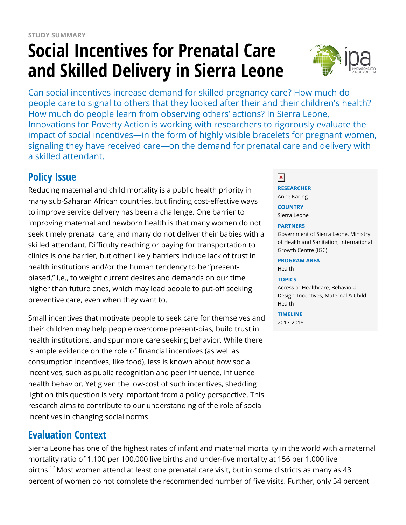# **Social Incentives for Prenatal Care and Skilled Delivery in Sierra Leone**



Can social incentives increase demand for skilled pregnancy care? How much do people care to signal to others that they looked after their and their children's health? How much do people learn from observing others' actions? In Sierra Leone, Innovations for Poverty Action is working with researchers to rigorously evaluate the impact of social incentives—in the form of highly visible bracelets for pregnant women, signaling they have received care—on the demand for prenatal care and delivery with a skilled attendant.

# **Policy Issue**

Reducing maternal and child mortality is a public health priority in many sub-Saharan African countries, but finding cost-effective ways to improve service delivery has been a challenge. One barrier to improving maternal and newborn health is that many women do not seek timely prenatal care, and many do not deliver their babies with a skilled attendant. Difficulty reaching or paying for transportation to clinics is one barrier, but other likely barriers include lack of trust in health institutions and/or the human tendency to be "presentbiased," i.e., to weight current desires and demands on our time higher than future ones, which may lead people to put-off seeking preventive care, even when they want to.

Small incentives that motivate people to seek care for themselves and their children may help people overcome present-bias, build trust in health institutions, and spur more care seeking behavior. While there is ample evidence on the role of financial incentives (as well as consumption incentives, like food), less is known about how social incentives, such as public recognition and peer influence, influence health behavior. Yet given the low-cost of such incentives, shedding light on this question is very important from a policy perspective. This research aims to contribute to our understanding of the role of social incentives in changing social norms.

## **Evaluation Context**

Sierra Leone has one of the highest rates of infant and maternal mortality in the world with a maternal mortality ratio of 1,100 per 100,000 live births and under-five mortality at 156 per 1,000 live births.<sup>12</sup> Most women attend at least one prenatal care visit, but in some districts as many as 43 percent of women do not complete the recommended number of five visits. Further, only 54 percent

# $\pmb{\times}$

#### **RESEARCHER**

Anne Karing

**COUNTRY** Sierra Leone

#### **PARTNERS**

Government of Sierra Leone, Ministry of Health and Sanitation, International Growth Centre (IGC)

#### **PROGRAM AREA**

Health

#### **TOPICS**

Access to Healthcare, Behavioral Design, Incentives, Maternal & Child Health

**TIMELINE**

2017-2018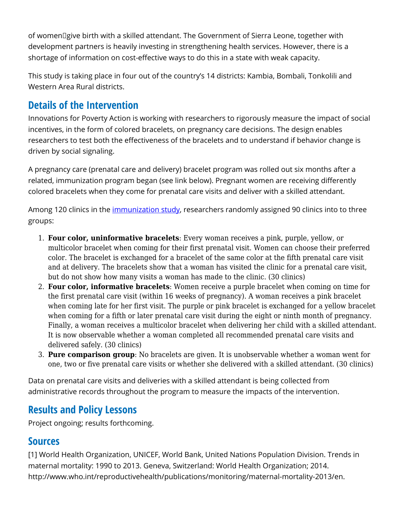of women give birth with a skilled attendant. The Government of Sierra Leone, together with development partners is heavily investing in strengthening health services. However, there is a shortage of information on cost-effective ways to do this in a state with weak capacity.

This study is taking place in four out of the country's 14 districts: Kambia, Bombali, Tonkolili and Western Area Rural districts.

# **Details of the Intervention**

Innovations for Poverty Action is working with researchers to rigorously measure the impact of social incentives, in the form of colored bracelets, on pregnancy care decisions. The design enables researchers to test both the effectiveness of the bracelets and to understand if behavior change is driven by social signaling.

A pregnancy care (prenatal care and delivery) bracelet program was rolled out six months after a related, immunization program began (see link below). Pregnant women are receiving differently colored bracelets when they come for prenatal care visits and deliver with a skilled attendant.

Among 120 clinics in the [immunization study](https://www.poverty-action.org/study/social-incentives-childhood-immunization-sierra-leone), researchers randomly assigned 90 clinics into to three groups:

- 1. **Four color, uninformative bracelets**: Every woman receives a pink, purple, yellow, or multicolor bracelet when coming for their first prenatal visit. Women can choose their preferred color. The bracelet is exchanged for a bracelet of the same color at the fifth prenatal care visit and at delivery. The bracelets show that a woman has visited the clinic for a prenatal care visit, but do not show how many visits a woman has made to the clinic. (30 clinics)
- 2. **Four color, informative bracelets**: Women receive a purple bracelet when coming on time for the first prenatal care visit (within 16 weeks of pregnancy). A woman receives a pink bracelet when coming late for her first visit. The purple or pink bracelet is exchanged for a yellow bracelet when coming for a fifth or later prenatal care visit during the eight or ninth month of pregnancy. Finally, a woman receives a multicolor bracelet when delivering her child with a skilled attendant. It is now observable whether a woman completed all recommended prenatal care visits and delivered safely. (30 clinics)
- 3. **Pure comparison group**: No bracelets are given. It is unobservable whether a woman went for one, two or five prenatal care visits or whether she delivered with a skilled attendant. (30 clinics)

Data on prenatal care visits and deliveries with a skilled attendant is being collected from administrative records throughout the program to measure the impacts of the intervention.

## **Results and Policy Lessons**

Project ongoing; results forthcoming.

### **Sources**

[1] World Health Organization, UNICEF, World Bank, United Nations Population Division. Trends in maternal mortality: 1990 to 2013. Geneva, Switzerland: World Health Organization; 2014. http://www.who.int/reproductivehealth/publications/monitoring/maternal-mortality-2013/en.